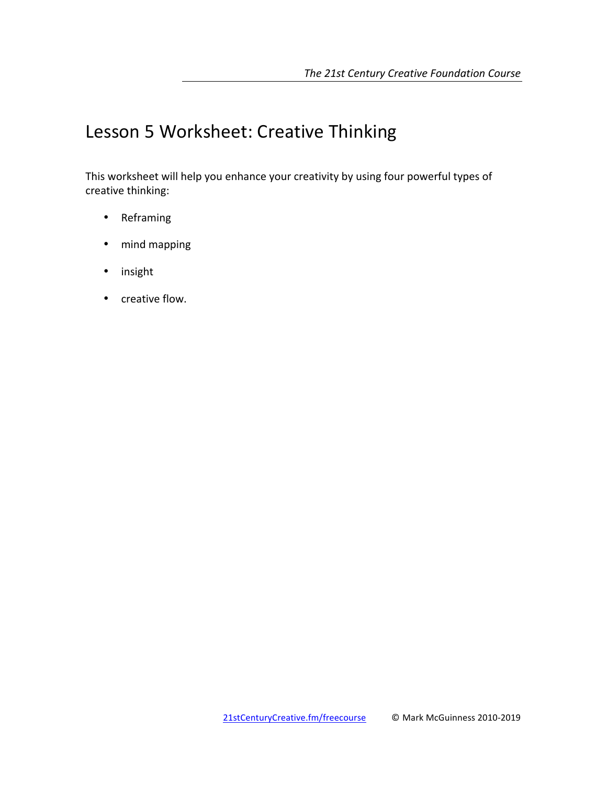# Lesson 5 Worksheet: Creative Thinking

This worksheet will help you enhance your creativity by using four powerful types of creative thinking:

- Reframing
- mind mapping
- insight
- creative flow.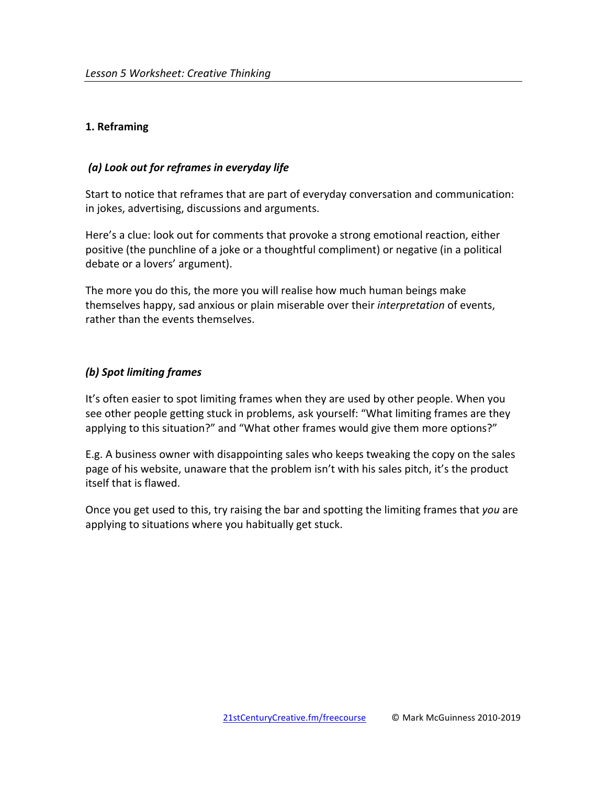## **1. Reframing**

## *(a) Look out for reframes in everyday life*

Start to notice that reframes that are part of everyday conversation and communication: in jokes, advertising, discussions and arguments.

Here's a clue: look out for comments that provoke a strong emotional reaction, either positive (the punchline of a joke or a thoughtful compliment) or negative (in a political debate or a lovers' argument).

The more you do this, the more you will realise how much human beings make themselves happy, sad anxious or plain miserable over their *interpretation* of events, rather than the events themselves.

# *(b) Spot limiting frames*

It's often easier to spot limiting frames when they are used by other people. When you see other people getting stuck in problems, ask yourself: "What limiting frames are they applying to this situation?" and "What other frames would give them more options?"

E.g. A business owner with disappointing sales who keeps tweaking the copy on the sales page of his website, unaware that the problem isn't with his sales pitch, it's the product itself that is flawed.

Once you get used to this, try raising the bar and spotting the limiting frames that you are applying to situations where you habitually get stuck.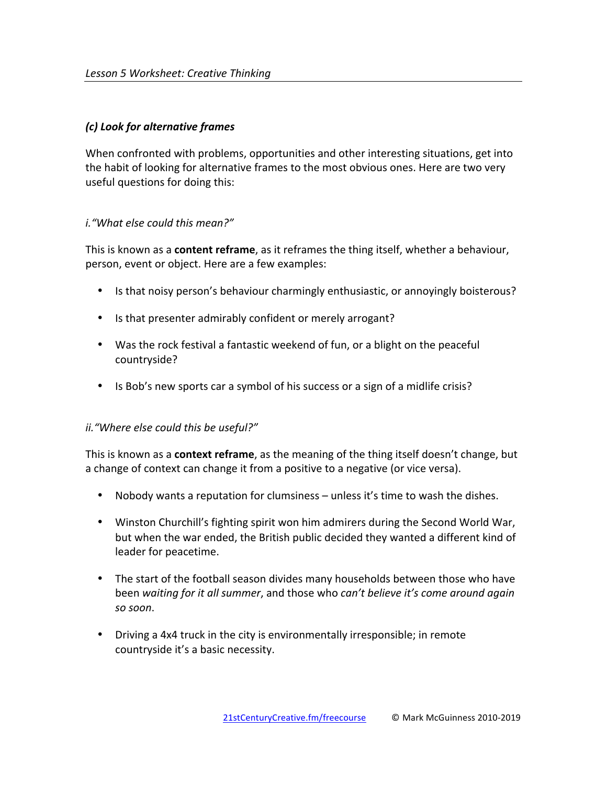# *(c) Look for alternative frames*

When confronted with problems, opportunities and other interesting situations, get into the habit of looking for alternative frames to the most obvious ones. Here are two very useful questions for doing this:

# *i.* "What else could this mean?"

This is known as a **content reframe**, as it reframes the thing itself, whether a behaviour, person, event or object. Here are a few examples:

- Is that noisy person's behaviour charmingly enthusiastic, or annoyingly boisterous?
- Is that presenter admirably confident or merely arrogant?
- Was the rock festival a fantastic weekend of fun, or a blight on the peaceful countryside?
- Is Bob's new sports car a symbol of his success or a sign of a midlife crisis?

## *ii.* "Where else could this be useful?"

This is known as a **context reframe**, as the meaning of the thing itself doesn't change, but a change of context can change it from a positive to a negative (or vice versa).

- Nobody wants a reputation for clumsiness unless it's time to wash the dishes.
- Winston Churchill's fighting spirit won him admirers during the Second World War, but when the war ended, the British public decided they wanted a different kind of leader for peacetime.
- The start of the football season divides many households between those who have been waiting for it all summer, and those who *can't believe it's come around again so soon*.
- Driving a 4x4 truck in the city is environmentally irresponsible; in remote countryside it's a basic necessity.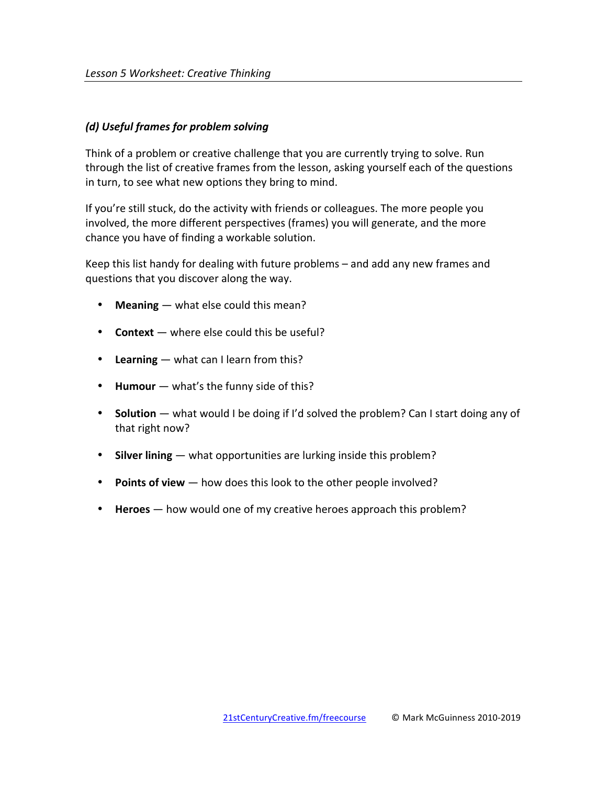## *(d) Useful frames for problem solving*

Think of a problem or creative challenge that you are currently trying to solve. Run through the list of creative frames from the lesson, asking yourself each of the questions in turn, to see what new options they bring to mind.

If you're still stuck, do the activity with friends or colleagues. The more people you involved, the more different perspectives (frames) you will generate, and the more chance you have of finding a workable solution.

Keep this list handy for dealing with future problems  $-$  and add any new frames and questions that you discover along the way.

- **Meaning** what else could this mean?
- **Context** where else could this be useful?
- Learning what can I learn from this?
- Humour what's the funny side of this?
- Solution what would I be doing if I'd solved the problem? Can I start doing any of that right now?
- **Silver lining** what opportunities are lurking inside this problem?
- **Points of view** how does this look to the other people involved?
- **Heroes** how would one of my creative heroes approach this problem?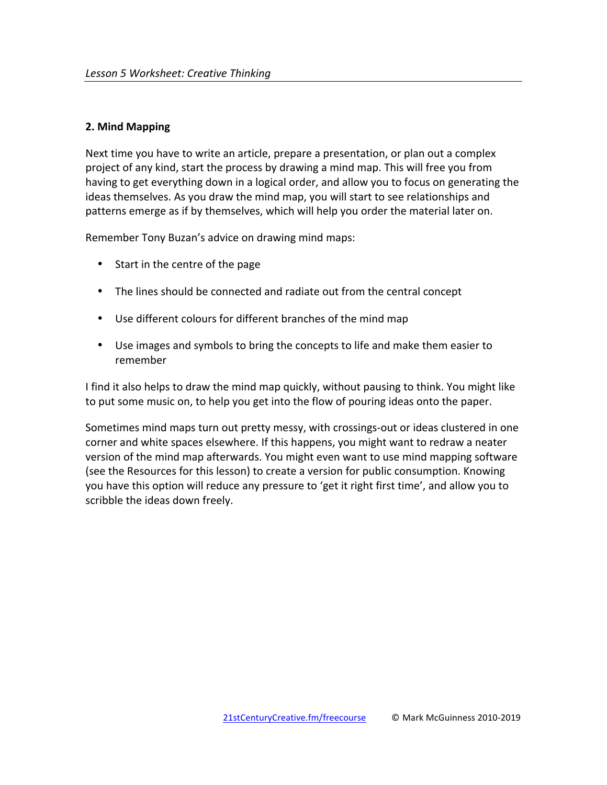### **2. Mind Mapping**

Next time you have to write an article, prepare a presentation, or plan out a complex project of any kind, start the process by drawing a mind map. This will free you from having to get everything down in a logical order, and allow you to focus on generating the ideas themselves. As you draw the mind map, you will start to see relationships and patterns emerge as if by themselves, which will help you order the material later on.

Remember Tony Buzan's advice on drawing mind maps:

- $\bullet$  Start in the centre of the page
- The lines should be connected and radiate out from the central concept
- Use different colours for different branches of the mind map
- Use images and symbols to bring the concepts to life and make them easier to remember

I find it also helps to draw the mind map quickly, without pausing to think. You might like to put some music on, to help you get into the flow of pouring ideas onto the paper.

Sometimes mind maps turn out pretty messy, with crossings-out or ideas clustered in one corner and white spaces elsewhere. If this happens, you might want to redraw a neater version of the mind map afterwards. You might even want to use mind mapping software (see the Resources for this lesson) to create a version for public consumption. Knowing you have this option will reduce any pressure to 'get it right first time', and allow you to scribble the ideas down freely.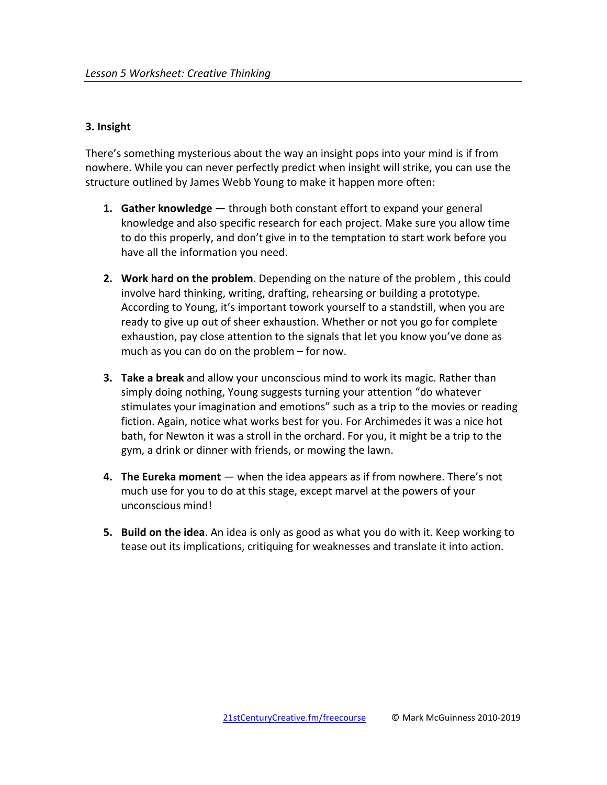### **3. Insight**

There's something mysterious about the way an insight pops into your mind is if from nowhere. While you can never perfectly predict when insight will strike, you can use the structure outlined by James Webb Young to make it happen more often:

- **1.** Gather knowledge through both constant effort to expand your general knowledge and also specific research for each project. Make sure you allow time to do this properly, and don't give in to the temptation to start work before you have all the information you need.
- **2.** Work hard on the problem. Depending on the nature of the problem, this could involve hard thinking, writing, drafting, rehearsing or building a prototype. According to Young, it's important towork yourself to a standstill, when you are ready to give up out of sheer exhaustion. Whether or not you go for complete exhaustion, pay close attention to the signals that let you know you've done as much as you can do on the problem  $-$  for now.
- **3. Take a break** and allow your unconscious mind to work its magic. Rather than simply doing nothing, Young suggests turning your attention "do whatever stimulates your imagination and emotions" such as a trip to the movies or reading fiction. Again, notice what works best for you. For Archimedes it was a nice hot bath, for Newton it was a stroll in the orchard. For you, it might be a trip to the gym, a drink or dinner with friends, or mowing the lawn.
- **4.** The Eureka moment when the idea appears as if from nowhere. There's not much use for you to do at this stage, except marvel at the powers of your unconscious mind!
- **5. Build on the idea**. An idea is only as good as what you do with it. Keep working to tease out its implications, critiquing for weaknesses and translate it into action.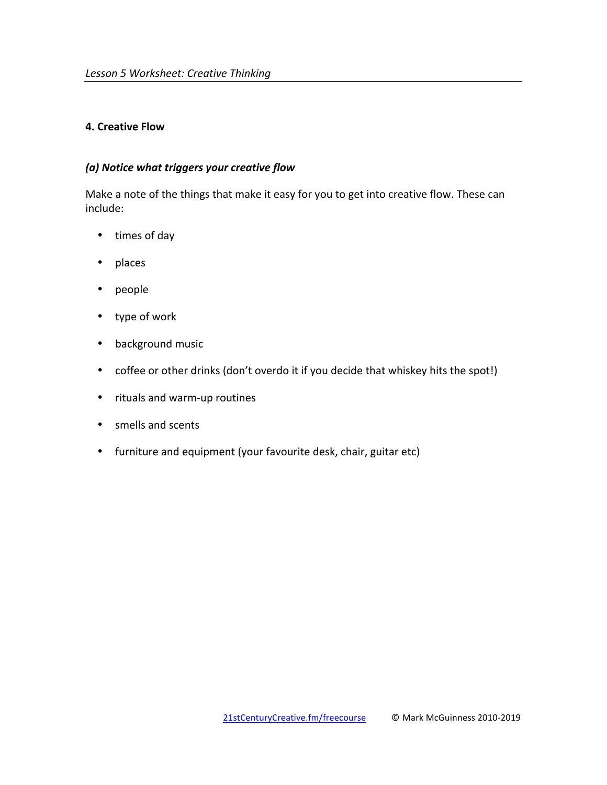## **4. Creative Flow**

### *(a) Notice what triggers your creative flow*

Make a note of the things that make it easy for you to get into creative flow. These can include:

- times of day
- places
- people
- type of work
- background music
- coffee or other drinks (don't overdo it if you decide that whiskey hits the spot!)
- rituals and warm-up routines
- smells and scents
- furniture and equipment (your favourite desk, chair, guitar etc)